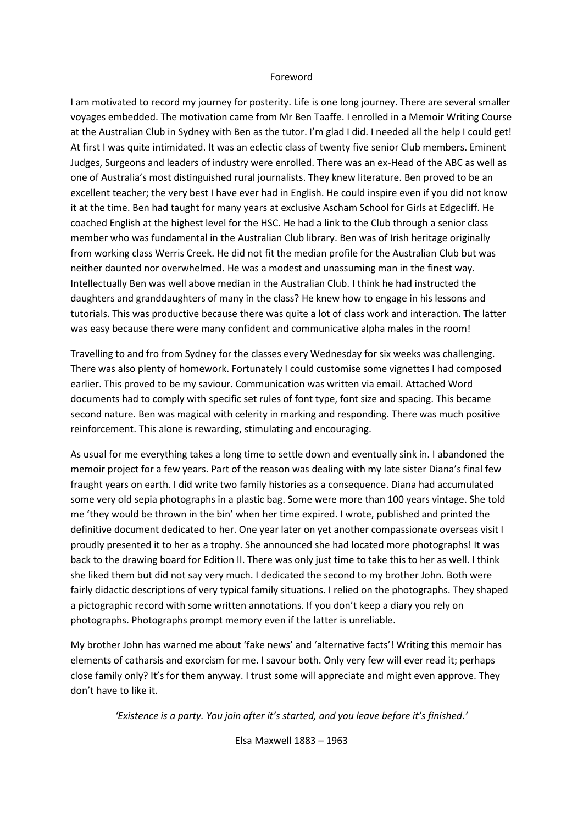## Foreword

I am motivated to record my journey for posterity. Life is one long journey. There are several smaller voyages embedded. The motivation came from Mr Ben Taaffe. I enrolled in a Memoir Writing Course at the Australian Club in Sydney with Ben as the tutor. I'm glad I did. I needed all the help I could get! At first I was quite intimidated. It was an eclectic class of twenty five senior Club members. Eminent Judges, Surgeons and leaders of industry were enrolled. There was an ex-Head of the ABC as well as one of Australia's most distinguished rural journalists. They knew literature. Ben proved to be an excellent teacher; the very best I have ever had in English. He could inspire even if you did not know it at the time. Ben had taught for many years at exclusive Ascham School for Girls at Edgecliff. He coached English at the highest level for the HSC. He had a link to the Club through a senior class member who was fundamental in the Australian Club library. Ben was of Irish heritage originally from working class Werris Creek. He did not fit the median profile for the Australian Club but was neither daunted nor overwhelmed. He was a modest and unassuming man in the finest way. Intellectually Ben was well above median in the Australian Club. I think he had instructed the daughters and granddaughters of many in the class? He knew how to engage in his lessons and tutorials. This was productive because there was quite a lot of class work and interaction. The latter was easy because there were many confident and communicative alpha males in the room!

Travelling to and fro from Sydney for the classes every Wednesday for six weeks was challenging. There was also plenty of homework. Fortunately I could customise some vignettes I had composed earlier. This proved to be my saviour. Communication was written via email. Attached Word documents had to comply with specific set rules of font type, font size and spacing. This became second nature. Ben was magical with celerity in marking and responding. There was much positive reinforcement. This alone is rewarding, stimulating and encouraging.

As usual for me everything takes a long time to settle down and eventually sink in. I abandoned the memoir project for a few years. Part of the reason was dealing with my late sister Diana's final few fraught years on earth. I did write two family histories as a consequence. Diana had accumulated some very old sepia photographs in a plastic bag. Some were more than 100 years vintage. She told me 'they would be thrown in the bin' when her time expired. I wrote, published and printed the definitive document dedicated to her. One year later on yet another compassionate overseas visit I proudly presented it to her as a trophy. She announced she had located more photographs! It was back to the drawing board for Edition II. There was only just time to take this to her as well. I think she liked them but did not say very much. I dedicated the second to my brother John. Both were fairly didactic descriptions of very typical family situations. I relied on the photographs. They shaped a pictographic record with some written annotations. If you don't keep a diary you rely on photographs. Photographs prompt memory even if the latter is unreliable.

My brother John has warned me about 'fake news' and 'alternative facts'! Writing this memoir has elements of catharsis and exorcism for me. I savour both. Only very few will ever read it; perhaps close family only? It's for them anyway. I trust some will appreciate and might even approve. They don't have to like it.

*'Existence is a party. You join after it's started, and you leave before it's finished.'*

Elsa Maxwell 1883 – 1963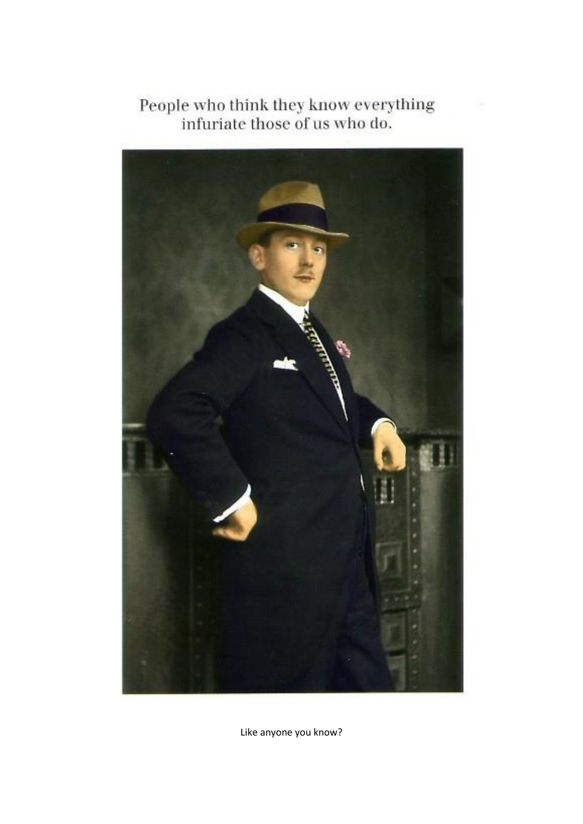



Like anyone you know?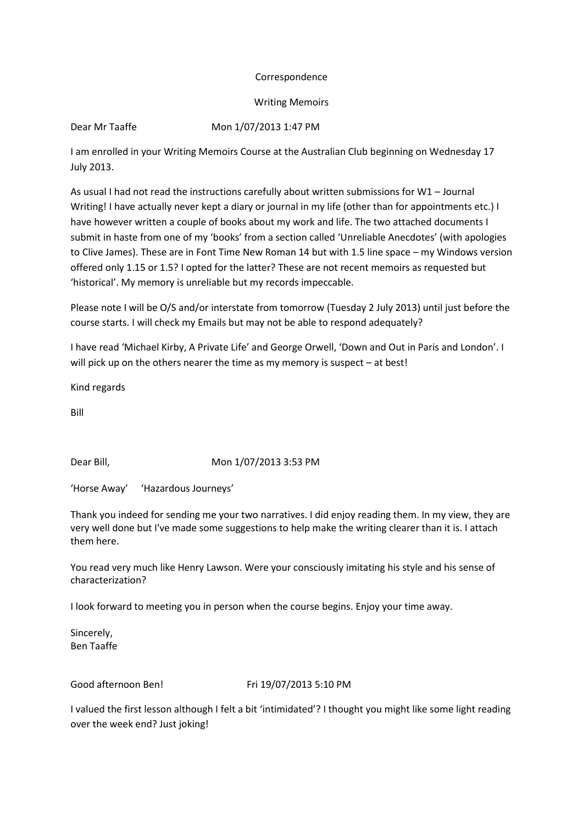## Correspondence

Writing Memoirs

Dear Mr Taaffe Mon 1/07/2013 1:47 PM

I am enrolled in your Writing Memoirs Course at the Australian Club beginning on Wednesday 17 July 2013.

As usual I had not read the instructions carefully about written submissions for W1 – Journal Writing! I have actually never kept a diary or journal in my life (other than for appointments etc.) I have however written a couple of books about my work and life. The two attached documents I submit in haste from one of my 'books' from a section called 'Unreliable Anecdotes' (with apologies to Clive James). These are in Font Time New Roman 14 but with 1.5 line space – my Windows version offered only 1.15 or 1.5? I opted for the latter? These are not recent memoirs as requested but 'historical'. My memory is unreliable but my records impeccable.

Please note I will be O/S and/or interstate from tomorrow (Tuesday 2 July 2013) until just before the course starts. I will check my Emails but may not be able to respond adequately?

I have read 'Michael Kirby, A Private Life' and George Orwell, 'Down and Out in Paris and London'. I will pick up on the others nearer the time as my memory is suspect – at best!

Kind regards

Bill

Dear Bill, Mon 1/07/2013 3:53 PM

'Horse Away' 'Hazardous Journeys'

Thank you indeed for sending me your two narratives. I did enjoy reading them. In my view, they are very well done but I've made some suggestions to help make the writing clearer than it is. I attach them here.

You read very much like Henry Lawson. Were your consciously imitating his style and his sense of characterization?

I look forward to meeting you in person when the course begins. Enjoy your time away.

Sincerely, Ben Taaffe

Good afternoon Ben! Fri 19/07/2013 5:10 PM

I valued the first lesson although I felt a bit 'intimidated'? I thought you might like some light reading over the week end? Just joking!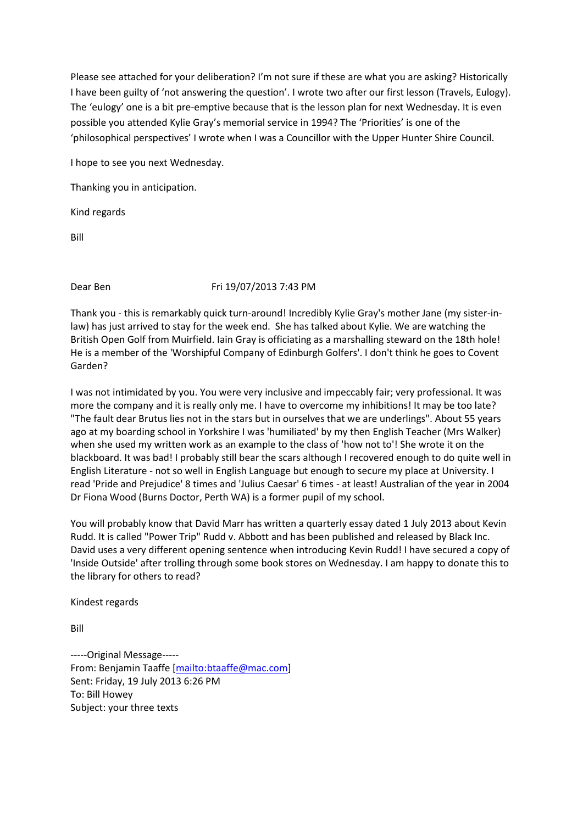Please see attached for your deliberation? I'm not sure if these are what you are asking? Historically I have been guilty of 'not answering the question'. I wrote two after our first lesson (Travels, Eulogy). The 'eulogy' one is a bit pre-emptive because that is the lesson plan for next Wednesday. It is even possible you attended Kylie Gray's memorial service in 1994? The 'Priorities' is one of the 'philosophical perspectives' I wrote when I was a Councillor with the Upper Hunter Shire Council.

I hope to see you next Wednesday.

Thanking you in anticipation.

Kind regards

Bill

## Dear Ben Fri 19/07/2013 7:43 PM

Thank you - this is remarkably quick turn-around! Incredibly Kylie Gray's mother Jane (my sister-inlaw) has just arrived to stay for the week end. She has talked about Kylie. We are watching the British Open Golf from Muirfield. Iain Gray is officiating as a marshalling steward on the 18th hole! He is a member of the 'Worshipful Company of Edinburgh Golfers'. I don't think he goes to Covent Garden?

I was not intimidated by you. You were very inclusive and impeccably fair; very professional. It was more the company and it is really only me. I have to overcome my inhibitions! It may be too late? "The fault dear Brutus lies not in the stars but in ourselves that we are underlings". About 55 years ago at my boarding school in Yorkshire I was 'humiliated' by my then English Teacher (Mrs Walker) when she used my written work as an example to the class of 'how not to'! She wrote it on the blackboard. It was bad! I probably still bear the scars although I recovered enough to do quite well in English Literature - not so well in English Language but enough to secure my place at University. I read 'Pride and Prejudice' 8 times and 'Julius Caesar' 6 times - at least! Australian of the year in 2004 Dr Fiona Wood (Burns Doctor, Perth WA) is a former pupil of my school.

You will probably know that David Marr has written a quarterly essay dated 1 July 2013 about Kevin Rudd. It is called "Power Trip" Rudd v. Abbott and has been published and released by Black Inc. David uses a very different opening sentence when introducing Kevin Rudd! I have secured a copy of 'Inside Outside' after trolling through some book stores on Wednesday. I am happy to donate this to the library for others to read?

Kindest regards

Bill

-----Original Message----- From: Benjamin Taaffe [\[mailto:btaaffe@mac.com\]](mailto:btaaffe@mac.com) Sent: Friday, 19 July 2013 6:26 PM To: Bill Howey Subject: your three texts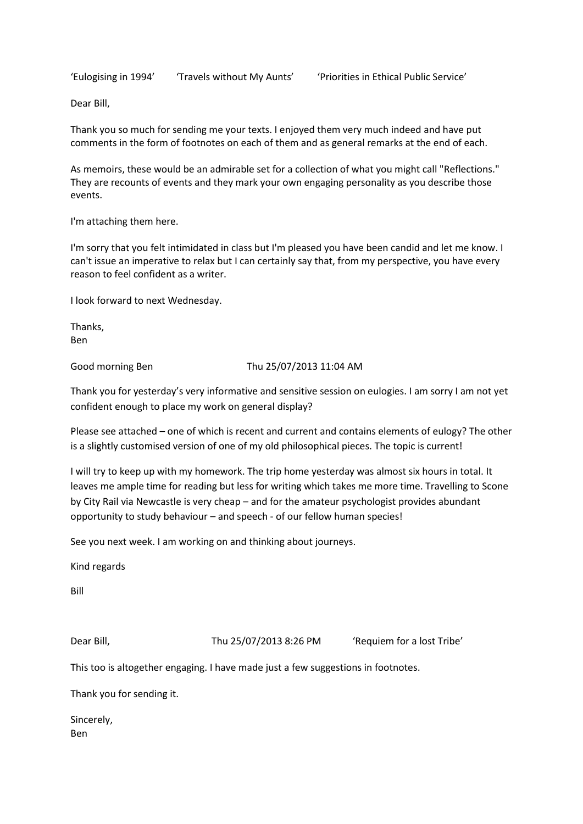'Eulogising in 1994' 'Travels without My Aunts' 'Priorities in Ethical Public Service'

Dear Bill,

Thank you so much for sending me your texts. I enjoyed them very much indeed and have put comments in the form of footnotes on each of them and as general remarks at the end of each.

As memoirs, these would be an admirable set for a collection of what you might call "Reflections." They are recounts of events and they mark your own engaging personality as you describe those events.

I'm attaching them here.

I'm sorry that you felt intimidated in class but I'm pleased you have been candid and let me know. I can't issue an imperative to relax but I can certainly say that, from my perspective, you have every reason to feel confident as a writer.

I look forward to next Wednesday.

Thanks, Ben

Good morning Ben Thu 25/07/2013 11:04 AM

Thank you for yesterday's very informative and sensitive session on eulogies. I am sorry I am not yet confident enough to place my work on general display?

Please see attached – one of which is recent and current and contains elements of eulogy? The other is a slightly customised version of one of my old philosophical pieces. The topic is current!

I will try to keep up with my homework. The trip home yesterday was almost six hours in total. It leaves me ample time for reading but less for writing which takes me more time. Travelling to Scone by City Rail via Newcastle is very cheap – and for the amateur psychologist provides abundant opportunity to study behaviour – and speech - of our fellow human species!

See you next week. I am working on and thinking about journeys.

Kind regards

Bill

Dear Bill, Thu 25/07/2013 8:26 PM 'Requiem for a lost Tribe'

This too is altogether engaging. I have made just a few suggestions in footnotes.

Thank you for sending it.

Sincerely, Ben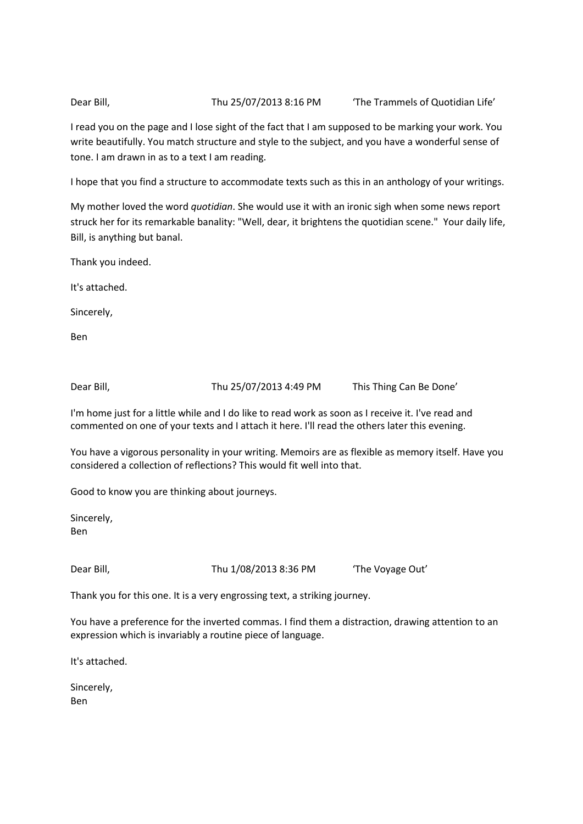Dear Bill, Thu 25/07/2013 8:16 PM The Trammels of Quotidian Life'

I read you on the page and I lose sight of the fact that I am supposed to be marking your work. You write beautifully. You match structure and style to the subject, and you have a wonderful sense of tone. I am drawn in as to a text I am reading.

I hope that you find a structure to accommodate texts such as this in an anthology of your writings.

My mother loved the word *quotidian*. She would use it with an ironic sigh when some news report struck her for its remarkable banality: "Well, dear, it brightens the quotidian scene." Your daily life, Bill, is anything but banal.

Thank you indeed.

It's attached.

Sincerely,

Ben

Dear Bill, Thu 25/07/2013 4:49 PM This Thing Can Be Done'

I'm home just for a little while and I do like to read work as soon as I receive it. I've read and commented on one of your texts and I attach it here. I'll read the others later this evening.

You have a vigorous personality in your writing. Memoirs are as flexible as memory itself. Have you considered a collection of reflections? This would fit well into that.

Good to know you are thinking about journeys.

Sincerely, Ben

Dear Bill, Thu 1/08/2013 8:36 PM 'The Voyage Out'

Thank you for this one. It is a very engrossing text, a striking journey.

You have a preference for the inverted commas. I find them a distraction, drawing attention to an expression which is invariably a routine piece of language.

It's attached.

Sincerely, Ben